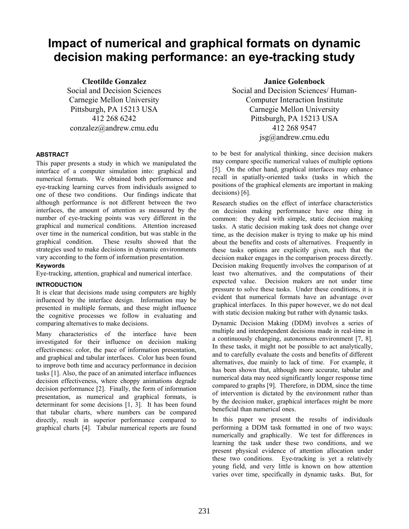# **Impact of numerical and graphical formats on dynamic decision making performance: an eye-tracking study**

**Cleotilde Gonzalez** 

Social and Decision Sciences Carnegie Mellon University Pittsburgh, PA 15213 USA 412 268 6242 conzalez@andrew.cmu.edu

# **ABSTRACT**

This paper presents a study in which we manipulated the interface of a computer simulation into: graphical and numerical formats. We obtained both performance and eye-tracking learning curves from individuals assigned to one of these two conditions. Our findings indicate that although performance is not different between the two interfaces, the amount of attention as measured by the number of eye-tracking points was very different in the graphical and numerical conditions. Attention increased over time in the numerical condition, but was stable in the graphical condition. These results showed that the strategies used to make decisions in dynamic environments vary according to the form of information presentation.

# **Keywords**

Eye-tracking, attention, graphical and numerical interface.

# **INTRODUCTION**

It is clear that decisions made using computers are highly influenced by the interface design. Information may be presented in multiple formats, and these might influence the cognitive processes we follow in evaluating and comparing alternatives to make decisions.

Many characteristics of the interface have been investigated for their influence on decision making effectiveness: color, the pace of information presentation, and graphical and tabular interfaces. Color has been found to improve both time and accuracy performance in decision tasks [1]. Also, the pace of an animated interface influences decision effectiveness, where choppy animations degrade decision performance [2]. Finally, the form of information presentation, as numerical and graphical formats, is determinant for some decisions [1, 3]. It has been found that tabular charts, where numbers can be compared directly, result in superior performance compared to graphical charts [4]. Tabular numerical reports are found

**Janice Golenbock**  Social and Decision Sciences/ Human-Computer Interaction Institute Carnegie Mellon University Pittsburgh, PA 15213 USA 412 268 9547 jsg@andrew.cmu.edu

to be best for analytical thinking, since decision makers may compare specific numerical values of multiple options [5]. On the other hand, graphical interfaces may enhance recall in spatially-oriented tasks (tasks in which the positions of the graphical elements are important in making decisions) [6].

Research studies on the effect of interface characteristics on decision making performance have one thing in common: they deal with simple, static decision making tasks. A static decision making task does not change over time, as the decision maker is trying to make up his mind about the benefits and costs of alternatives. Frequently in these tasks options are explicitly given, such that the decision maker engages in the comparison process directly. Decision making frequently involves the comparison of at least two alternatives, and the computations of their expected value. Decision makers are not under time pressure to solve these tasks. Under these conditions, it is evident that numerical formats have an advantage over graphical interfaces. In this paper however, we do not deal with static decision making but rather with dynamic tasks.

Dynamic Decision Making (DDM) involves a series of multiple and interdependent decisions made in real-time in a continuously changing, autonomous environment [7, 8]. In these tasks, it might not be possible to act analytically, and to carefully evaluate the costs and benefits of different alternatives, due mainly to lack of time. For example, it has been shown that, although more accurate, tabular and numerical data may need significantly longer response time compared to graphs [9]. Therefore, in DDM, since the time of intervention is dictated by the environment rather than by the decision maker, graphical interfaces might be more beneficial than numerical ones.

In this paper we present the results of individuals performing a DDM task formatted in one of two ways: numerically and graphically. We test for differences in learning the task under these two conditions, and we present physical evidence of attention allocation under these two conditions. Eye-tracking is yet a relatively young field, and very little is known on how attention varies over time, specifically in dynamic tasks. But, for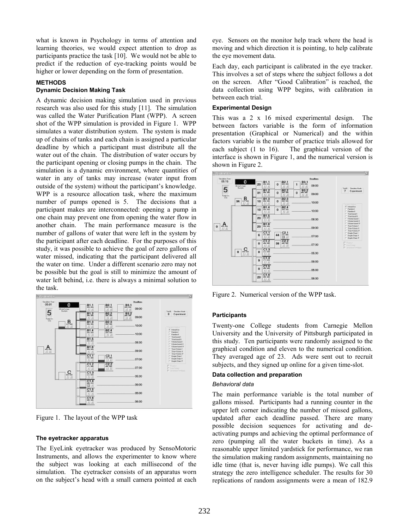what is known in Psychology in terms of attention and learning theories, we would expect attention to drop as participants practice the task [10]. We would not be able to predict if the reduction of eye-tracking points would be higher or lower depending on the form of presentation.

## **METHODS**

## **Dynamic Decision Making Task**

A dynamic decision making simulation used in previous research was also used for this study [11]. The simulation was called the Water Purification Plant (WPP). A screen shot of the WPP simulation is provided in Figure 1. WPP simulates a water distribution system. The system is made up of chains of tanks and each chain is assigned a particular deadline by which a participant must distribute all the water out of the chain. The distribution of water occurs by the participant opening or closing pumps in the chain. The simulation is a dynamic environment, where quantities of water in any of tanks may increase (water input from outside of the system) without the participant's knowledge. WPP is a resource allocation task, where the maximum number of pumps opened is 5. The decisions that a participant makes are interconnected: opening a pump in one chain may prevent one from opening the water flow in another chain. The main performance measure is the number of gallons of water that were left in the system by the participant after each deadline. For the purposes of this study, it was possible to achieve the goal of zero gallons of water missed, indicating that the participant delivered all the water on time. Under a different scenario zero may not be possible but the goal is still to minimize the amount of water left behind, i.e. there is always a minimal solution to the task.



Figure 1. The layout of the WPP task

## **The eyetracker apparatus**

The EyeLink eyetracker was produced by SensoMotoric Instruments, and allows the experimenter to know where the subject was looking at each millisecond of the simulation. The eyetracker consists of an apparatus worn on the subject's head with a small camera pointed at each

eye. Sensors on the monitor help track where the head is moving and which direction it is pointing, to help calibrate the eye movement data.

Each day, each participant is calibrated in the eye tracker. This involves a set of steps where the subject follows a dot on the screen. After "Good Calibration" is reached, the data collection using WPP begins, with calibration in between each trial.

#### **Experimental Design**

This was a 2 x 16 mixed experimental design. The between factors variable is the form of information presentation (Graphical or Numerical) and the within factors variable is the number of practice trials allowed for each subject (1 to 16). The graphical version of the interface is shown in Figure 1, and the numerical version is shown in Figure 2.



Figure 2. Numerical version of the WPP task.

#### **Participants**

Twenty-one College students from Carnegie Mellon University and the University of Pittsburgh participated in this study. Ten participants were randomly assigned to the graphical condition and eleven to the numerical condition. They averaged age of 23. Ads were sent out to recruit subjects, and they signed up online for a given time-slot.

## **Data collection and preparation**

#### *Behavioral data*

The main performance variable is the total number of gallons missed. Participants had a running counter in the upper left corner indicating the number of missed gallons, updated after each deadline passed. There are many possible decision sequences for activating and deactivating pumps and achieving the optimal performance of zero (pumping all the water buckets in time). As a reasonable upper limited yardstick for performance, we ran the simulation making random assignments, maintaining no idle time (that is, never having idle pumps). We call this strategy the zero intelligence scheduler. The results for 30 replications of random assignments were a mean of 182.9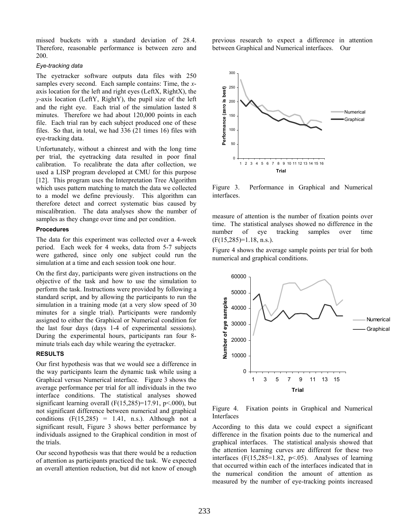missed buckets with a standard deviation of 28.4. Therefore, reasonable performance is between zero and 200.

#### *Eye-tracking data*

The eyetracker software outputs data files with 250 samples every second. Each sample contains: Time, the *x*axis location for the left and right eyes (LeftX, RightX), the *y*-axis location (LeftY, RightY), the pupil size of the left and the right eye. Each trial of the simulation lasted 8 minutes. Therefore we had about 120,000 points in each file. Each trial ran by each subject produced one of these files. So that, in total, we had 336 (21 times 16) files with eye-tracking data.

Unfortunately, without a chinrest and with the long time per trial, the eyetracking data resulted in poor final calibration. To recalibrate the data after collection, we used a LISP program developed at CMU for this purpose [12]. This program uses the Interpretation Tree Algorithm which uses pattern matching to match the data we collected to a model we define previously. This algorithm can therefore detect and correct systematic bias caused by miscalibration. The data analyses show the number of samples as they change over time and per condition.

#### **Procedures**

The data for this experiment was collected over a 4-week period. Each week for 4 weeks, data from 5-7 subjects were gathered, since only one subject could run the simulation at a time and each session took one hour.

On the first day, participants were given instructions on the objective of the task and how to use the simulation to perform the task. Instructions were provided by following a standard script, and by allowing the participants to run the simulation in a training mode (at a very slow speed of 30 minutes for a single trial). Participants were randomly assigned to either the Graphical or Numerical condition for the last four days (days 1-4 of experimental sessions). During the experimental hours, participants ran four 8 minute trials each day while wearing the eyetracker.

#### **RESULTS**

Our first hypothesis was that we would see a difference in the way participants learn the dynamic task while using a Graphical versus Numerical interface. Figure 3 shows the average performance per trial for all individuals in the two interface conditions. The statistical analyses showed significant learning overall  $(F(15,285)=17.91, p<.000)$ , but not significant difference between numerical and graphical conditions  $(F(15,285) = 1.41, n.s.)$ . Although not a significant result, Figure 3 shows better performance by individuals assigned to the Graphical condition in most of the trials.

Our second hypothesis was that there would be a reduction of attention as participants practiced the task. We expected an overall attention reduction, but did not know of enough

previous research to expect a difference in attention between Graphical and Numerical interfaces. Our



Figure 3. Performance in Graphical and Numerical interfaces.

measure of attention is the number of fixation points over time. The statistical analyses showed no difference in the number of eye tracking samples over time  $(F(15, 285)=1.18, n.s.).$ 

Figure 4 shows the average sample points per trial for both numerical and graphical conditions.



Figure 4. Fixation points in Graphical and Numerical Interfaces

According to this data we could expect a significant difference in the fixation points due to the numerical and graphical interfaces. The statistical analysis showed that the attention learning curves are different for these two interfaces  $(F(15, 285=1.82, p<0.65))$ . Analyses of learning that occurred within each of the interfaces indicated that in the numerical condition the amount of attention as measured by the number of eye-tracking points increased